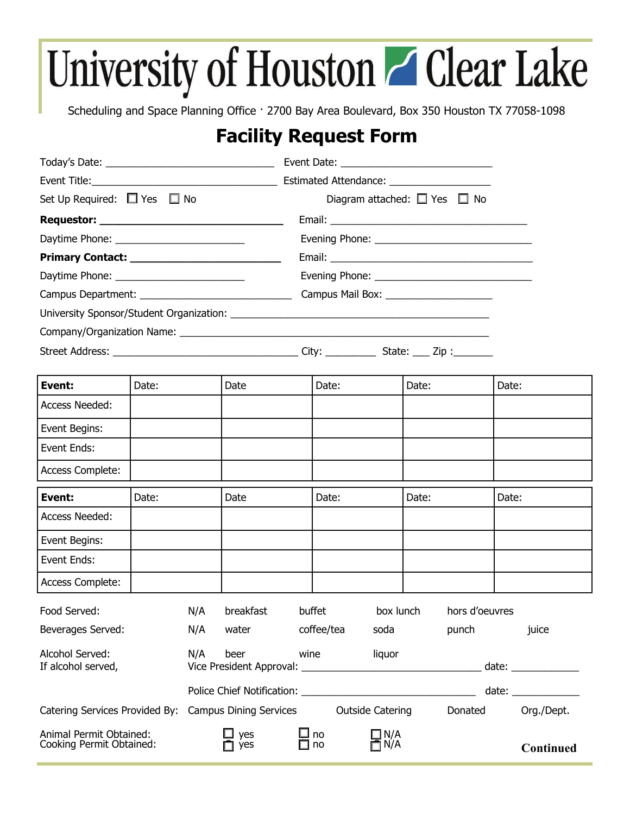## University of Houston Z Clear Lake

Scheduling and Space Planning Office · 2700 Bay Area Boulevard, Box 350 Houston TX 77058-1098

## **Facility Request Form**

| Set Up Required: $\Box$ Yes $\Box$ No               |       |     | Diagram attached: $\Box$ Yes $\Box$ No |  |            |                         |       |                |       |                                                        |
|-----------------------------------------------------|-------|-----|----------------------------------------|--|------------|-------------------------|-------|----------------|-------|--------------------------------------------------------|
|                                                     |       |     |                                        |  |            |                         |       |                |       |                                                        |
|                                                     |       |     |                                        |  |            |                         |       |                |       |                                                        |
|                                                     |       |     |                                        |  |            |                         |       |                |       |                                                        |
|                                                     |       |     |                                        |  |            |                         |       |                |       |                                                        |
|                                                     |       |     |                                        |  |            |                         |       |                |       |                                                        |
|                                                     |       |     |                                        |  |            |                         |       |                |       |                                                        |
|                                                     |       |     |                                        |  |            |                         |       |                |       |                                                        |
|                                                     |       |     |                                        |  |            |                         |       |                |       |                                                        |
|                                                     |       |     |                                        |  |            |                         |       |                |       |                                                        |
| Event:                                              | Date: |     | Date                                   |  | Date:      |                         | Date: |                | Date: |                                                        |
| <b>Access Needed:</b>                               |       |     |                                        |  |            |                         |       |                |       |                                                        |
| Event Begins:                                       |       |     |                                        |  |            |                         |       |                |       |                                                        |
| Event Ends:                                         |       |     |                                        |  |            |                         |       |                |       |                                                        |
| Access Complete:                                    |       |     |                                        |  |            |                         |       |                |       |                                                        |
| Event:                                              | Date: |     | Date                                   |  | Date:      |                         | Date: |                | Date: |                                                        |
| <b>Access Needed:</b>                               |       |     |                                        |  |            |                         |       |                |       |                                                        |
| Event Begins:                                       |       |     |                                        |  |            |                         |       |                |       |                                                        |
| Event Ends:                                         |       |     |                                        |  |            |                         |       |                |       |                                                        |
| Access Complete:                                    |       |     |                                        |  |            |                         |       |                |       |                                                        |
| Food Served:                                        |       | N/A | breakfast                              |  | buffet     | box lunch               |       | hors d'oeuvres |       |                                                        |
| Beverages Served:                                   |       | N/A | water                                  |  | coffee/tea | soda                    |       | punch          |       | juice                                                  |
| Alcohol Served:<br>If alcohol served,               |       | N/A | beer                                   |  | wine       | liquor                  |       |                |       | date: $\frac{1}{\sqrt{1-\frac{1}{2}}\cdot\frac{1}{2}}$ |
|                                                     |       |     |                                        |  |            |                         |       |                |       |                                                        |
| Catering Services Provided By:                      |       |     | <b>Campus Dining Services</b>          |  |            | <b>Outside Catering</b> |       | Donated        |       | Org./Dept.                                             |
| Animal Permit Obtained:<br>Cooking Permit Obtained: |       |     | yes<br>yes                             |  | ⊿ no<br>no | $\square$ N/A<br>ת ¶∏   |       |                |       | Continued                                              |